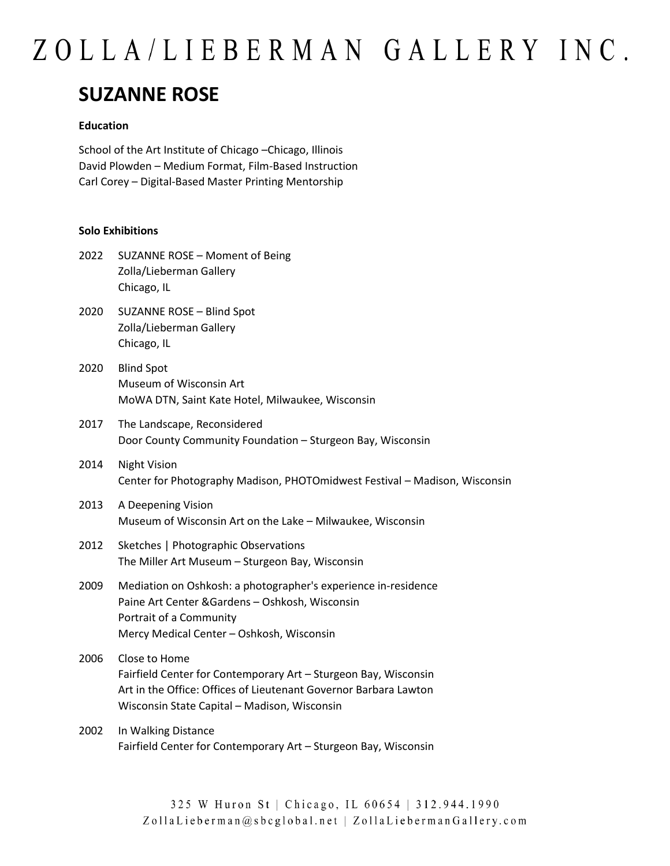## ZOLLA/LIEBERMAN GALLERY INC.

### **SUZANNE ROSE**

### **Education**

School of the Art Institute of Chicago –Chicago, Illinois David Plowden – Medium Format, Film-Based Instruction Carl Corey – Digital-Based Master Printing Mentorship

#### **Solo Exhibitions**

- 2022 SUZANNE ROSE Moment of Being Zolla/Lieberman Gallery Chicago, IL
- 2020 SUZANNE ROSE Blind Spot Zolla/Lieberman Gallery Chicago, IL
- 2020 Blind Spot Museum of Wisconsin Art MoWA DTN, Saint Kate Hotel, Milwaukee, Wisconsin
- 2017 The Landscape, Reconsidered Door County Community Foundation – Sturgeon Bay, Wisconsin
- 2014 Night Vision Center for Photography Madison, PHOTOmidwest Festival – Madison, Wisconsin
- 2013 A Deepening Vision Museum of Wisconsin Art on the Lake – Milwaukee, Wisconsin
- 2012 Sketches | Photographic Observations The Miller Art Museum – Sturgeon Bay, Wisconsin
- 2009 Mediation on Oshkosh: a photographer's experience in-residence Paine Art Center &Gardens – Oshkosh, Wisconsin Portrait of a Community Mercy Medical Center – Oshkosh, Wisconsin
- 2006 Close to Home Fairfield Center for Contemporary Art – Sturgeon Bay, Wisconsin Art in the Office: Offices of Lieutenant Governor Barbara Lawton Wisconsin State Capital – Madison, Wisconsin
- 2002 In Walking Distance Fairfield Center for Contemporary Art – Sturgeon Bay, Wisconsin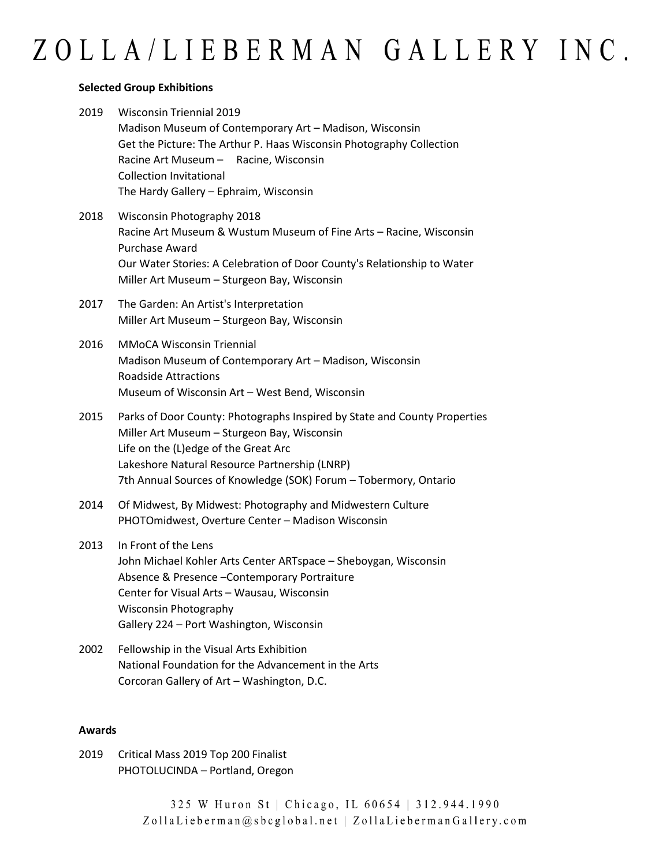### **Selected Group Exhibitions**

| 2019 | <b>Wisconsin Triennial 2019</b>                                      |  |  |
|------|----------------------------------------------------------------------|--|--|
|      | Madison Museum of Contemporary Art - Madison, Wisconsin              |  |  |
|      | Get the Picture: The Arthur P. Haas Wisconsin Photography Collection |  |  |
|      | Racine Art Museum - Racine, Wisconsin                                |  |  |
|      | <b>Collection Invitational</b>                                       |  |  |
|      | The Hardy Gallery – Ephraim, Wisconsin                               |  |  |
| 2018 | Wisconsin Photography 2018                                           |  |  |
|      | Racine Art Museum & Wustum Museum of Fine Arts - Racine Wisconsin    |  |  |

- Racine Art Museum & Wustum Museum of Fine Arts Racine, Wisconsin Purchase Award Our Water Stories: A Celebration of Door County's Relationship to Water Miller Art Museum – Sturgeon Bay, Wisconsin
- 2017 The Garden: An Artist's Interpretation Miller Art Museum – Sturgeon Bay, Wisconsin
- 2016 MMoCA Wisconsin Triennial Madison Museum of Contemporary Art – Madison, Wisconsin Roadside Attractions Museum of Wisconsin Art – West Bend, Wisconsin
- 2015 Parks of Door County: Photographs Inspired by State and County Properties Miller Art Museum – Sturgeon Bay, Wisconsin Life on the (L)edge of the Great Arc Lakeshore Natural Resource Partnership (LNRP) 7th Annual Sources of Knowledge (SOK) Forum – Tobermory, Ontario
- 2014 Of Midwest, By Midwest: Photography and Midwestern Culture PHOTOmidwest, Overture Center – Madison Wisconsin
- 2013 In Front of the Lens John Michael Kohler Arts Center ARTspace – Sheboygan, Wisconsin Absence & Presence –Contemporary Portraiture Center for Visual Arts – Wausau, Wisconsin Wisconsin Photography Gallery 224 – Port Washington, Wisconsin
- 2002 Fellowship in the Visual Arts Exhibition National Foundation for the Advancement in the Arts Corcoran Gallery of Art – Washington, D.C.

### **Awards**

2019 Critical Mass 2019 Top 200 Finalist PHOTOLUCINDA – Portland, Oregon

> 325 W Huron St | Chicago, IL 60654 | 312.944.1990 ZollaLieberman@sbcglobal.net | ZollaLiebermanGallery.com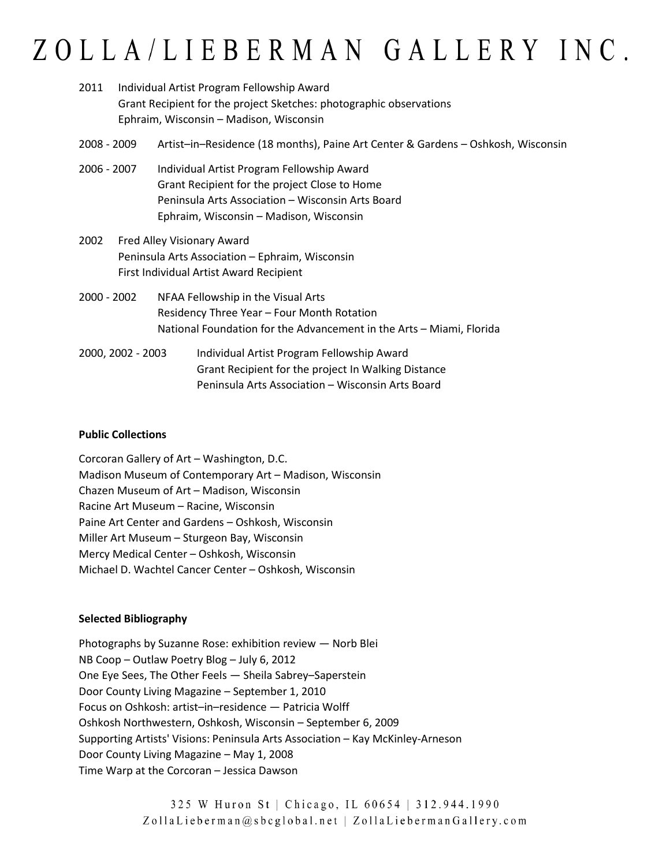# ZOLLA/LIEBERMAN GALLERY INC.

| 2011        | Individual Artist Program Fellowship Award<br>Grant Recipient for the project Sketches: photographic observations<br>Ephraim, Wisconsin - Madison, Wisconsin |                                                                                                                                                                                             |  |
|-------------|--------------------------------------------------------------------------------------------------------------------------------------------------------------|---------------------------------------------------------------------------------------------------------------------------------------------------------------------------------------------|--|
| 2008 - 2009 |                                                                                                                                                              | Artist-in-Residence (18 months), Paine Art Center & Gardens - Oshkosh, Wisconsin                                                                                                            |  |
| 2006 - 2007 |                                                                                                                                                              | Individual Artist Program Fellowship Award<br>Grant Recipient for the project Close to Home<br>Peninsula Arts Association - Wisconsin Arts Board<br>Ephraim, Wisconsin - Madison, Wisconsin |  |
| 2002        | Fred Alley Visionary Award<br>Peninsula Arts Association - Ephraim, Wisconsin<br>First Individual Artist Award Recipient                                     |                                                                                                                                                                                             |  |
| 2000 - 2002 |                                                                                                                                                              | NFAA Fellowship in the Visual Arts<br>Residency Three Year - Four Month Rotation<br>National Foundation for the Advancement in the Arts - Miami, Florida                                    |  |
|             | 2000, 2002 - 2003                                                                                                                                            | Individual Artist Program Fellowship Award<br>Grant Recipient for the project In Walking Distance<br>Peninsula Arts Association - Wisconsin Arts Board                                      |  |

### **Public Collections**

Corcoran Gallery of Art – Washington, D.C. Madison Museum of Contemporary Art – Madison, Wisconsin Chazen Museum of Art – Madison, Wisconsin Racine Art Museum – Racine, Wisconsin Paine Art Center and Gardens – Oshkosh, Wisconsin Miller Art Museum – Sturgeon Bay, Wisconsin Mercy Medical Center – Oshkosh, Wisconsin Michael D. Wachtel Cancer Center – Oshkosh, Wisconsin

### **Selected Bibliography**

Photographs by Suzanne Rose: exhibition review — Norb Blei NB Coop – Outlaw Poetry Blog – July 6, 2012 One Eye Sees, The Other Feels — Sheila Sabrey–Saperstein Door County Living Magazine – September 1, 2010 Focus on Oshkosh: artist–in–residence — Patricia Wolff Oshkosh Northwestern, Oshkosh, Wisconsin – September 6, 2009 Supporting Artists' Visions: Peninsula Arts Association – Kay McKinley-Arneson Door County Living Magazine – May 1, 2008 Time Warp at the Corcoran – Jessica Dawson

> 325 W Huron St | Chicago, IL 60654 | 312.944.1990 ZollaLieberman@sbcglobal.net | ZollaLiebermanGallery.com